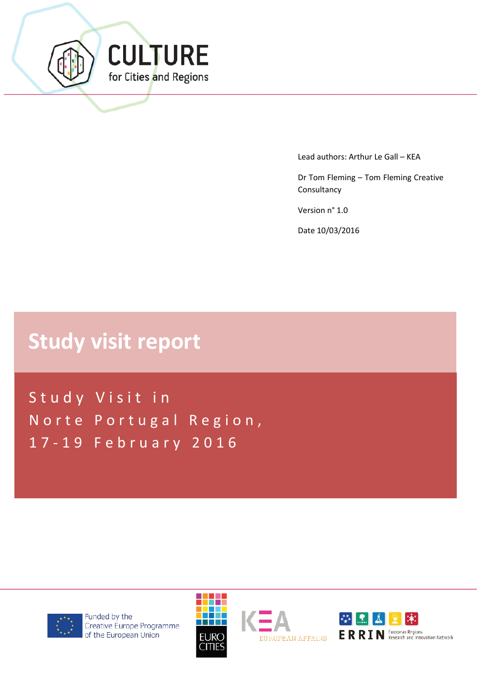

Lead authors: Arthur Le Gall – KEA

Dr Tom Fleming – Tom Fleming Creative **Consultancy** 

Version n° 1.0

Date 10/03/2016

# **Study visit report**

Study Visit in Norte Portugal Region, 1 7 - 19 February 2016



Funded by the Creative Europe Programme of the European Union





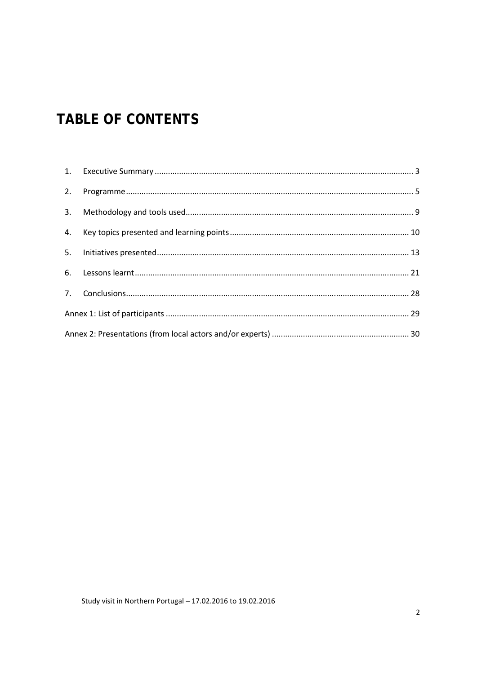## **TABLE OF CONTENTS**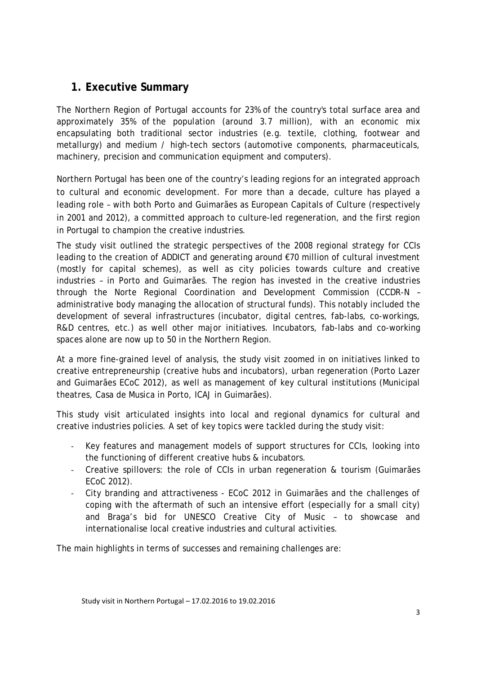### <span id="page-2-0"></span>**1. Executive Summary**

The Northern Region of Portugal accounts for 23% of the country's total surface area and approximately 35% of the population (around 3.7 million), with an economic mix encapsulating both traditional sector industries (e.g. textile, clothing, footwear and metallurgy) and medium / high-tech sectors (automotive components, pharmaceuticals, machinery, precision and communication equipment and computers).

Northern Portugal has been one of the country's leading regions for an integrated approach to cultural and economic development. For more than a decade, culture has played a leading role – with both Porto and Guimarães as European Capitals of Culture (respectively in 2001 and 2012), a committed approach to culture-led regeneration, and the first region in Portugal to champion the creative industries.

The study visit outlined the strategic perspectives of the 2008 regional strategy for CCIs leading to the creation of ADDICT and generating around €70 million of cultural investment (mostly for capital schemes), as well as city policies towards culture and creative industries – in Porto and Guimarães. The region has invested in the creative industries through the Norte Regional Coordination and Development Commission (CCDR-N – administrative body managing the allocation of structural funds). This notably included the development of several infrastructures (incubator, digital centres, fab-labs, co-workings, R&D centres, etc.) as well other major initiatives. Incubators, fab-labs and co-working spaces alone are now up to 50 in the Northern Region.

At a more fine-grained level of analysis, the study visit zoomed in on initiatives linked to creative entrepreneurship (creative hubs and incubators), urban regeneration (Porto Lazer and Guimarães ECoC 2012), as well as management of key cultural institutions (Municipal theatres, Casa de Musica in Porto, ICAJ in Guimarães).

This study visit articulated insights into local and regional dynamics for cultural and creative industries policies. A set of key topics were tackled during the study visit:

- Key features and management models of support structures for CCIs, looking into the functioning of different creative hubs & incubators.
- Creative spillovers: the role of CCIs in urban regeneration & tourism (Guimarães ECoC 2012).
- City branding and attractiveness ECoC 2012 in Guimarães and the challenges of coping with the aftermath of such an intensive effort (especially for a small city) and Braga's bid for UNESCO Creative City of Music – to showcase and internationalise local creative industries and cultural activities.

The main highlights in terms of successes and remaining challenges are: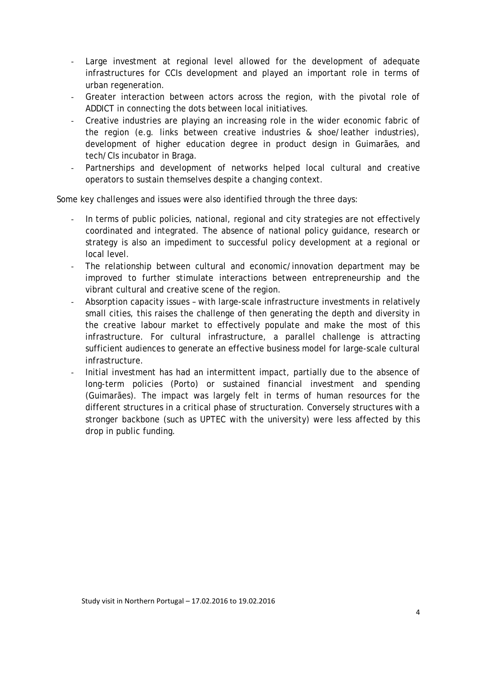- Large investment at regional level allowed for the development of adequate infrastructures for CCIs development and played an important role in terms of urban regeneration.
- Greater interaction between actors across the region, with the pivotal role of ADDICT in connecting the dots between local initiatives.
- Creative industries are playing an increasing role in the wider economic fabric of the region (e.g. links between creative industries & shoe/leather industries), development of higher education degree in product design in Guimarães, and tech/CIs incubator in Braga.
- Partnerships and development of networks helped local cultural and creative operators to sustain themselves despite a changing context.

Some key challenges and issues were also identified through the three days:

- In terms of public policies, national, regional and city strategies are not effectively coordinated and integrated. The absence of national policy guidance, research or strategy is also an impediment to successful policy development at a regional or local level.
- The relationship between cultural and economic/innovation department may be improved to further stimulate interactions between entrepreneurship and the vibrant cultural and creative scene of the region.
- Absorption capacity issues with large-scale infrastructure investments in relatively small cities, this raises the challenge of then generating the depth and diversity in the creative labour market to effectively populate and make the most of this infrastructure. For cultural infrastructure, a parallel challenge is attracting sufficient audiences to generate an effective business model for large-scale cultural infrastructure.
- Initial investment has had an intermittent impact, partially due to the absence of long-term policies (Porto) or sustained financial investment and spending (Guimarães). The impact was largely felt in terms of human resources for the different structures in a critical phase of structuration. Conversely structures with a stronger backbone (such as UPTEC with the university) were less affected by this drop in public funding.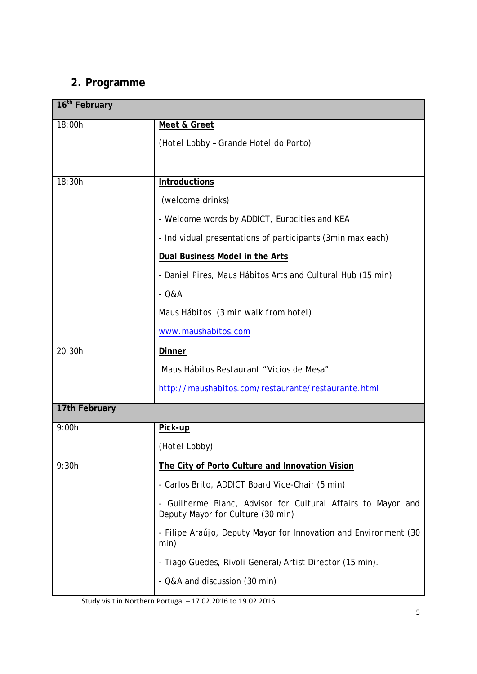### <span id="page-4-0"></span>**2. Programme**

| 16 <sup>th</sup> February |                                                                                                   |  |
|---------------------------|---------------------------------------------------------------------------------------------------|--|
| 18:00h                    | Meet & Greet                                                                                      |  |
|                           | (Hotel Lobby - Grande Hotel do Porto)                                                             |  |
|                           |                                                                                                   |  |
| 18:30h                    | <b>Introductions</b>                                                                              |  |
|                           | (welcome drinks)                                                                                  |  |
|                           | - Welcome words by ADDICT, Eurocities and KEA                                                     |  |
|                           | - Individual presentations of participants (3min max each)                                        |  |
|                           | Dual Business Model in the Arts                                                                   |  |
|                           | - Daniel Pires, Maus Hábitos Arts and Cultural Hub (15 min)                                       |  |
|                           | $-$ Q&A                                                                                           |  |
|                           | Maus Hábitos (3 min walk from hotel)                                                              |  |
|                           | www.maushabitos.com                                                                               |  |
| 20.30h                    | <b>Dinner</b>                                                                                     |  |
|                           | Maus Hábitos Restaurant "Vicios de Mesa"                                                          |  |
|                           | http://maushabitos.com/restaurante/restaurante.html                                               |  |
| 17th February             |                                                                                                   |  |
| 9:00h                     | Pick-up                                                                                           |  |
|                           | (Hotel Lobby)                                                                                     |  |
| 9:30h                     | The City of Porto Culture and Innovation Vision                                                   |  |
|                           | - Carlos Brito, ADDICT Board Vice-Chair (5 min)                                                   |  |
|                           | - Guilherme Blanc, Advisor for Cultural Affairs to Mayor and<br>Deputy Mayor for Culture (30 min) |  |
|                           | - Filipe Araújo, Deputy Mayor for Innovation and Environment (30<br>min)                          |  |
|                           | - Tiago Guedes, Rivoli General/Artist Director (15 min).                                          |  |
|                           | - Q&A and discussion (30 min)                                                                     |  |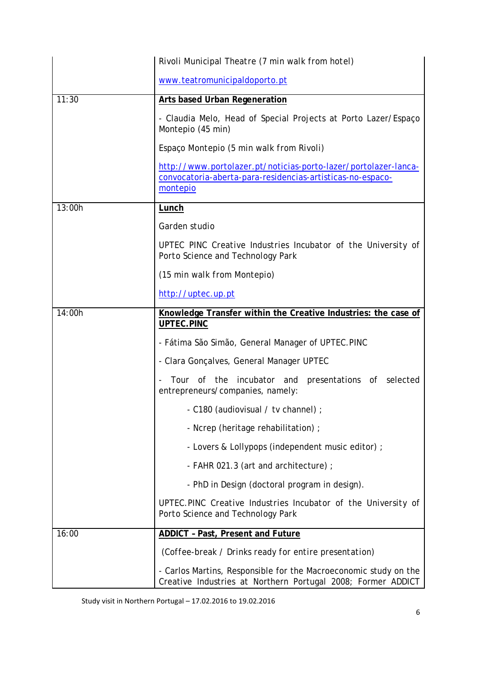|        | Rivoli Municipal Theatre (7 min walk from hotel)                                                                                          |  |
|--------|-------------------------------------------------------------------------------------------------------------------------------------------|--|
|        | www.teatromunicipaldoporto.pt                                                                                                             |  |
| 11:30  | <b>Arts based Urban Regeneration</b>                                                                                                      |  |
|        | - Claudia Melo, Head of Special Projects at Porto Lazer/Espaço<br>Montepio (45 min)                                                       |  |
|        | Espaço Montepio (5 min walk from Rivoli)                                                                                                  |  |
|        | http://www.portolazer.pt/noticias-porto-lazer/portolazer-lanca-<br>convocatoria-aberta-para-residencias-artisticas-no-espaco-<br>montepio |  |
| 13:00h | <b>Lunch</b>                                                                                                                              |  |
|        | Garden studio                                                                                                                             |  |
|        | UPTEC PINC Creative Industries Incubator of the University of<br>Porto Science and Technology Park                                        |  |
|        | (15 min walk from Montepio)                                                                                                               |  |
|        | http://uptec.up.pt                                                                                                                        |  |
| 14:00h | Knowledge Transfer within the Creative Industries: the case of                                                                            |  |
|        | UPTEC.PINC                                                                                                                                |  |
|        | - Fátima São Simão, General Manager of UPTEC.PINC                                                                                         |  |
|        | - Clara Gonçalves, General Manager UPTEC                                                                                                  |  |
|        | incubator and<br>Tour of the<br>presentations of<br>selected<br>entrepreneurs/companies, namely:                                          |  |
|        | - C180 (audiovisual / tv channel) ;                                                                                                       |  |
|        | - Ncrep (heritage rehabilitation) ;                                                                                                       |  |
|        | - Lovers & Lollypops (independent music editor) ;                                                                                         |  |
|        | - FAHR 021.3 (art and architecture);                                                                                                      |  |
|        | - PhD in Design (doctoral program in design).                                                                                             |  |
|        | UPTEC.PINC Creative Industries Incubator of the University of<br>Porto Science and Technology Park                                        |  |
| 16:00  | <b>ADDICT - Past, Present and Future</b>                                                                                                  |  |
|        | (Coffee-break / Drinks ready for entire presentation)                                                                                     |  |
|        | - Carlos Martins, Responsible for the Macroeconomic study on the<br>Creative Industries at Northern Portugal 2008; Former ADDICT          |  |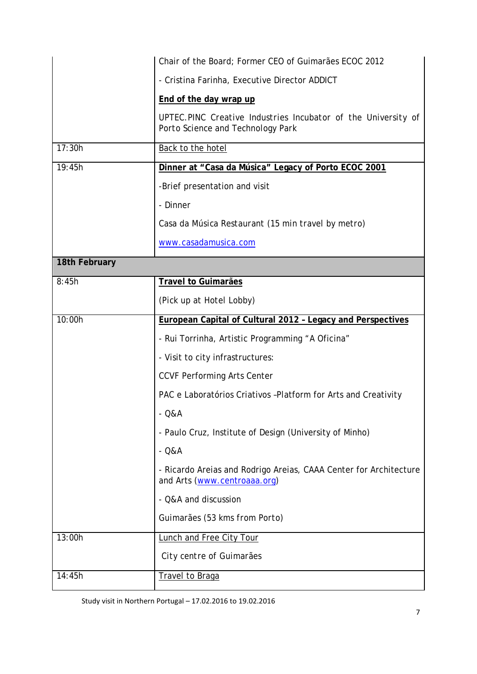|               | Chair of the Board; Former CEO of Guimarães ECOC 2012                                              |
|---------------|----------------------------------------------------------------------------------------------------|
|               | - Cristina Farinha, Executive Director ADDICT                                                      |
|               | End of the day wrap up                                                                             |
|               | UPTEC.PINC Creative Industries Incubator of the University of<br>Porto Science and Technology Park |
| 17:30h        | Back to the hotel                                                                                  |
| 19:45h        | Dinner at "Casa da Música" Legacy of Porto ECOC 2001                                               |
|               | -Brief presentation and visit                                                                      |
|               | - Dinner                                                                                           |
|               | Casa da Música Restaurant (15 min travel by metro)                                                 |
|               | www.casadamusica.com                                                                               |
| 18th February |                                                                                                    |
| 8:45h         | <b>Travel to Guimarães</b>                                                                         |
|               | (Pick up at Hotel Lobby)                                                                           |
| 10:00h        | European Capital of Cultural 2012 - Legacy and Perspectives                                        |
|               | - Rui Torrinha, Artistic Programming "A Oficina"                                                   |
|               | - Visit to city infrastructures:                                                                   |
|               | <b>CCVF Performing Arts Center</b>                                                                 |
|               | PAC e Laboratórios Criativos -Platform for Arts and Creativity                                     |
|               | $- Q&A$                                                                                            |
|               |                                                                                                    |
|               | - Paulo Cruz, Institute of Design (University of Minho)                                            |
|               | $- Q&A$                                                                                            |
|               | - Ricardo Areias and Rodrigo Areias, CAAA Center for Architecture<br>and Arts (www.centroaaa.org)  |
|               | - Q&A and discussion                                                                               |
|               | Guimarães (53 kms from Porto)                                                                      |
| 13:00h        | <b>Lunch and Free City Tour</b>                                                                    |
|               | City centre of Guimarães                                                                           |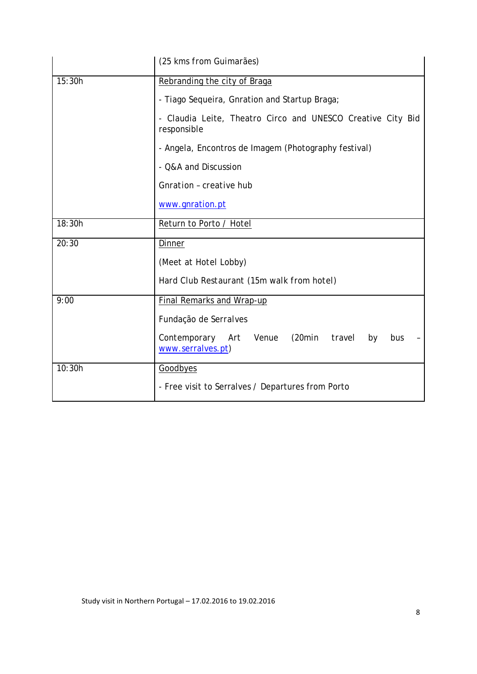|        | (25 kms from Guimarães)                                                      |
|--------|------------------------------------------------------------------------------|
| 15:30h | Rebranding the city of Braga                                                 |
|        | - Tiago Sequeira, Gnration and Startup Braga;                                |
|        | - Claudia Leite, Theatro Circo and UNESCO Creative City Bid<br>responsible   |
|        | - Angela, Encontros de Imagem (Photography festival)                         |
|        | - Q&A and Discussion                                                         |
|        | Gnration - creative hub                                                      |
|        | www.gnration.pt                                                              |
| 18:30h | Return to Porto / Hotel                                                      |
| 20:30  | Dinner                                                                       |
|        | (Meet at Hotel Lobby)                                                        |
|        | Hard Club Restaurant (15m walk from hotel)                                   |
| 9:00   | <b>Final Remarks and Wrap-up</b>                                             |
|        | Fundação de Serralves                                                        |
|        | Contemporary Art Venue<br>(20min<br>travel<br>by<br>bus<br>www.serralves.pt) |
| 10:30h | Goodbyes                                                                     |
|        | - Free visit to Serralves / Departures from Porto                            |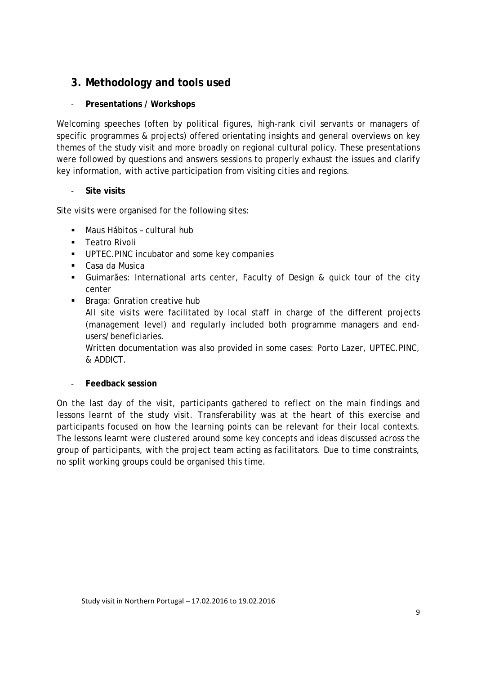### <span id="page-8-0"></span>**3. Methodology and tools used**

#### - **Presentations / Workshops**

Welcoming speeches (often by political figures, high-rank civil servants or managers of specific programmes & projects) offered orientating insights and general overviews on key themes of the study visit and more broadly on regional cultural policy. These presentations were followed by questions and answers sessions to properly exhaust the issues and clarify key information, with active participation from visiting cities and regions.

#### - **Site visits**

Site visits were organised for the following sites:

- Maus Hábitos cultural hub
- **Teatro Rivoli**
- **UPTEC.PINC incubator and some key companies**
- Casa da Musica
- Guimarães: International arts center, Faculty of Design & quick tour of the city center
- **Braga: Gnration creative hub** All site visits were facilitated by local staff in charge of the different projects (management level) and regularly included both programme managers and endusers/beneficiaries. Written documentation was also provided in some cases: Porto Lazer, UPTEC.PINC,

#### - **Feedback session**

& ADDICT.

On the last day of the visit, participants gathered to reflect on the main findings and lessons learnt of the study visit. Transferability was at the heart of this exercise and participants focused on how the learning points can be relevant for their local contexts. The lessons learnt were clustered around some key concepts and ideas discussed across the group of participants, with the project team acting as facilitators. Due to time constraints, no split working groups could be organised this time.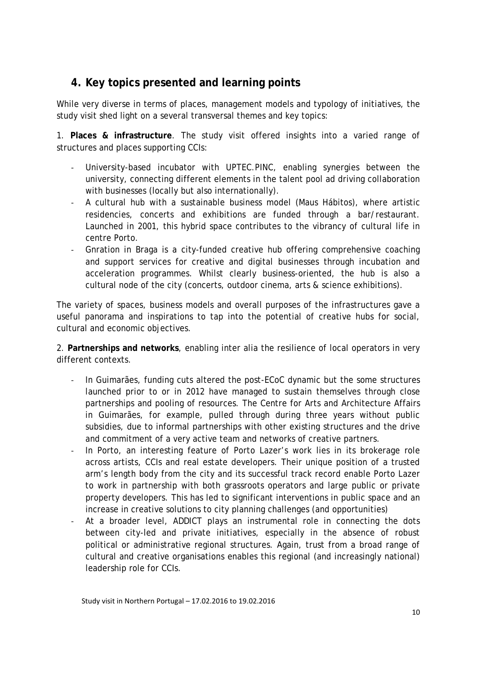### <span id="page-9-0"></span>**4. Key topics presented and learning points**

While very diverse in terms of places, management models and typology of initiatives, the study visit shed light on a several transversal themes and key topics:

1. **Places & infrastructure**. The study visit offered insights into a varied range of structures and places supporting CCIs:

- University-based incubator with UPTEC.PINC, enabling synergies between the university, connecting different elements in the talent pool ad driving collaboration with businesses (locally but also internationally).
- A cultural hub with a sustainable business model (Maus Hábitos), where artistic residencies, concerts and exhibitions are funded through a bar/restaurant. Launched in 2001, this hybrid space contributes to the vibrancy of cultural life in centre Porto.
- Gnration in Braga is a city-funded creative hub offering comprehensive coaching and support services for creative and digital businesses through incubation and acceleration programmes. Whilst clearly business-oriented, the hub is also a cultural node of the city (concerts, outdoor cinema, arts & science exhibitions).

The variety of spaces, business models and overall purposes of the infrastructures gave a useful panorama and inspirations to tap into the potential of creative hubs for social, cultural and economic objectives.

2. **Partnerships and networks**, enabling inter alia the resilience of local operators in very different contexts.

- In Guimarães, funding cuts altered the post-ECoC dynamic but the some structures launched prior to or in 2012 have managed to sustain themselves through close partnerships and pooling of resources. The Centre for Arts and Architecture Affairs in Guimarães, for example, pulled through during three years without public subsidies, due to informal partnerships with other existing structures and the drive and commitment of a very active team and networks of creative partners.
- In Porto, an interesting feature of Porto Lazer's work lies in its brokerage role across artists, CCIs and real estate developers. Their unique position of a trusted arm's length body from the city and its successful track record enable Porto Lazer to work in partnership with both grassroots operators and large public or private property developers. This has led to significant interventions in public space and an increase in creative solutions to city planning challenges (and opportunities)
- At a broader level, ADDICT plays an instrumental role in connecting the dots between city-led and private initiatives, especially in the absence of robust political or administrative regional structures. Again, trust from a broad range of cultural and creative organisations enables this regional (and increasingly national) leadership role for CCIs.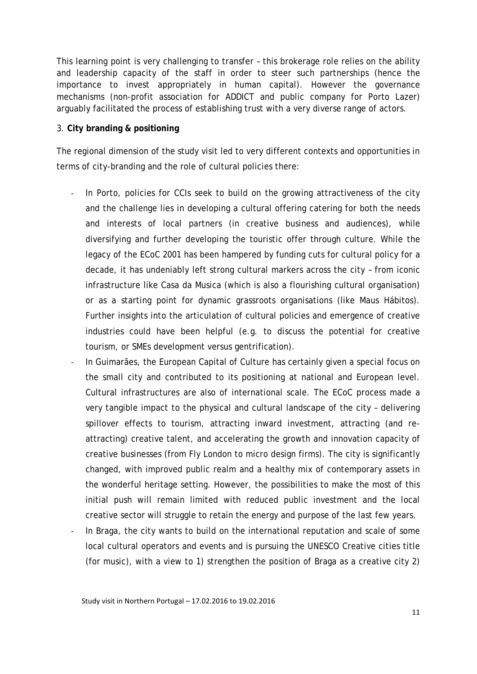This learning point is very challenging to transfer – this brokerage role relies on the ability and leadership capacity of the staff in order to steer such partnerships (hence the importance to invest appropriately in human capital). However the governance mechanisms (non-profit association for ADDICT and public company for Porto Lazer) arguably facilitated the process of establishing trust with a very diverse range of actors.

#### 3. **City branding & positioning**

The regional dimension of the study visit led to very different contexts and opportunities in terms of city-branding and the role of cultural policies there:

- In Porto, policies for CCIs seek to build on the growing attractiveness of the city and the challenge lies in developing a cultural offering catering for both the needs and interests of local partners (in creative business and audiences), while diversifying and further developing the touristic offer through culture. While the legacy of the ECoC 2001 has been hampered by funding cuts for cultural policy for a decade, it has undeniably left strong cultural markers across the city – from iconic infrastructure like Casa da Musica (which is also a flourishing cultural organisation) or as a starting point for dynamic grassroots organisations (like Maus Hábitos). Further insights into the articulation of cultural policies and emergence of creative industries could have been helpful (e.g. to discuss the potential for creative tourism, or SMEs development versus gentrification).
- In Guimarães, the European Capital of Culture has certainly given a special focus on the small city and contributed to its positioning at national and European level. Cultural infrastructures are also of international scale. The ECoC process made a very tangible impact to the physical and cultural landscape of the city – delivering spillover effects to tourism, attracting inward investment, attracting (and reattracting) creative talent, and accelerating the growth and innovation capacity of creative businesses (from Fly London to micro design firms). The city is significantly changed, with improved public realm and a healthy mix of contemporary assets in the wonderful heritage setting. However, the possibilities to make the most of this initial push will remain limited with reduced public investment and the local creative sector will struggle to retain the energy and purpose of the last few years.
- In Braga, the city wants to build on the international reputation and scale of some local cultural operators and events and is pursuing the UNESCO Creative cities title (for music), with a view to 1) strengthen the position of Braga as a creative city 2)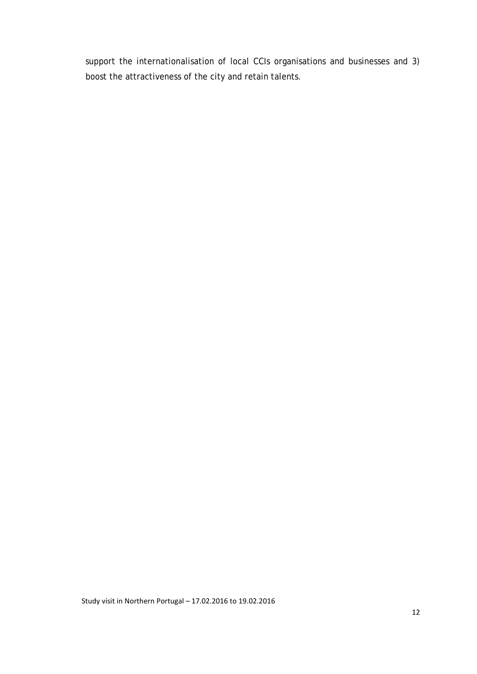support the internationalisation of local CCIs organisations and businesses and 3) boost the attractiveness of the city and retain talents.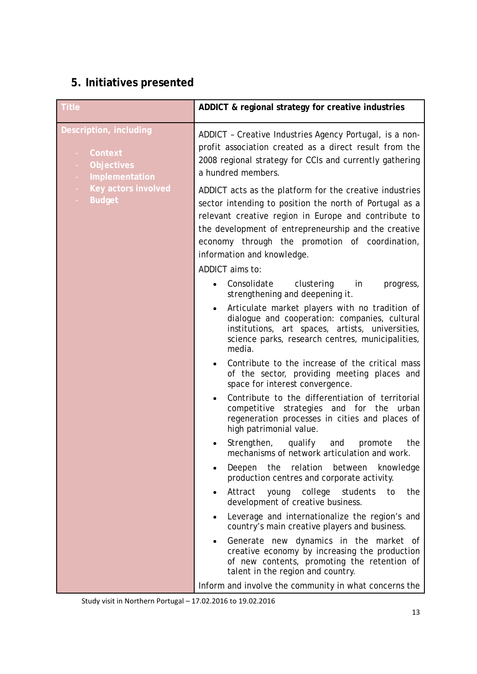### <span id="page-12-0"></span>**5. Initiatives presented**

| <b>Title</b>                                                             | ADDICT & regional strategy for creative industries                                                                                                                                                                                                                                                                 |
|--------------------------------------------------------------------------|--------------------------------------------------------------------------------------------------------------------------------------------------------------------------------------------------------------------------------------------------------------------------------------------------------------------|
| Description, including<br>Context<br><b>Objectives</b><br>Implementation | ADDICT - Creative Industries Agency Portugal, is a non-<br>profit association created as a direct result from the<br>2008 regional strategy for CCIs and currently gathering<br>a hundred members.                                                                                                                 |
| Key actors involved<br><b>Budget</b>                                     | ADDICT acts as the platform for the creative industries<br>sector intending to position the north of Portugal as a<br>relevant creative region in Europe and contribute to<br>the development of entrepreneurship and the creative<br>economy through the promotion of coordination,<br>information and knowledge. |
|                                                                          | ADDICT aims to:                                                                                                                                                                                                                                                                                                    |
|                                                                          | Consolidate<br>clustering<br>in<br>progress,<br>$\bullet$<br>strengthening and deepening it.                                                                                                                                                                                                                       |
|                                                                          | Articulate market players with no tradition of<br>$\bullet$<br>dialogue and cooperation: companies, cultural<br>institutions, art spaces, artists, universities,<br>science parks, research centres, municipalities,<br>media.                                                                                     |
|                                                                          | Contribute to the increase of the critical mass<br>of the sector, providing meeting places and<br>space for interest convergence.                                                                                                                                                                                  |
|                                                                          | Contribute to the differentiation of territorial<br>competitive strategies and for the<br>urban<br>regeneration processes in cities and places of<br>high patrimonial value.                                                                                                                                       |
|                                                                          | Strengthen, qualify and<br>promote<br>the<br>mechanisms of network articulation and work.                                                                                                                                                                                                                          |
|                                                                          | relation<br>Deepen<br>the<br>between<br>knowledge<br>production centres and corporate activity.                                                                                                                                                                                                                    |
|                                                                          | young college students<br>Attract<br>the<br>to<br>development of creative business.                                                                                                                                                                                                                                |
|                                                                          | Leverage and internationalize the region's and<br>$\bullet$<br>country's main creative players and business.                                                                                                                                                                                                       |
|                                                                          | Generate new dynamics in the market of<br>creative economy by increasing the production<br>of new contents, promoting the retention of<br>talent in the region and country.                                                                                                                                        |
|                                                                          | Inform and involve the community in what concerns the                                                                                                                                                                                                                                                              |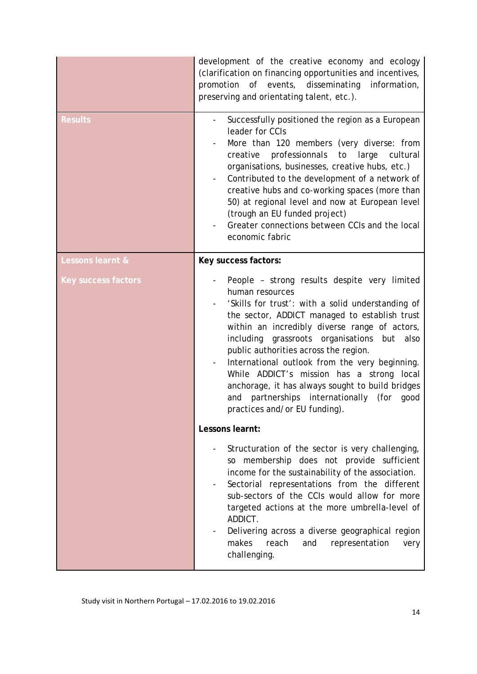|                            | development of the creative economy and ecology<br>(clarification on financing opportunities and incentives,<br>promotion of events, disseminating<br>information,<br>preserving and orientating talent, etc.).                                                                                                                                                                                                                                                                                                                                        |
|----------------------------|--------------------------------------------------------------------------------------------------------------------------------------------------------------------------------------------------------------------------------------------------------------------------------------------------------------------------------------------------------------------------------------------------------------------------------------------------------------------------------------------------------------------------------------------------------|
| <b>Results</b>             | Successfully positioned the region as a European<br>leader for CCIs<br>More than 120 members (very diverse: from<br>professionnals<br>large<br>creative<br>to<br>cultural<br>organisations, businesses, creative hubs, etc.)<br>Contributed to the development of a network of<br>creative hubs and co-working spaces (more than<br>50) at regional level and now at European level<br>(trough an EU funded project)<br>Greater connections between CCIs and the local<br>economic fabric                                                              |
| Lessons learnt &           | Key success factors:                                                                                                                                                                                                                                                                                                                                                                                                                                                                                                                                   |
| <b>Key success factors</b> | People - strong results despite very limited<br>human resources<br>'Skills for trust': with a solid understanding of<br>the sector, ADDICT managed to establish trust<br>within an incredibly diverse range of actors,<br>including grassroots organisations but also<br>public authorities across the region.<br>International outlook from the very beginning.<br>While ADDICT's mission has a strong local<br>anchorage, it has always sought to build bridges<br>partnerships internationally (for<br>and<br>good<br>practices and/or EU funding). |
|                            | Lessons learnt:                                                                                                                                                                                                                                                                                                                                                                                                                                                                                                                                        |
|                            | Structuration of the sector is very challenging,<br>so membership does not provide sufficient<br>income for the sustainability of the association.<br>Sectorial representations from the different<br>sub-sectors of the CCIs would allow for more<br>targeted actions at the more umbrella-level of<br>ADDICT.<br>Delivering across a diverse geographical region<br>makes<br>reach<br>and<br>representation<br>very<br>challenging.                                                                                                                  |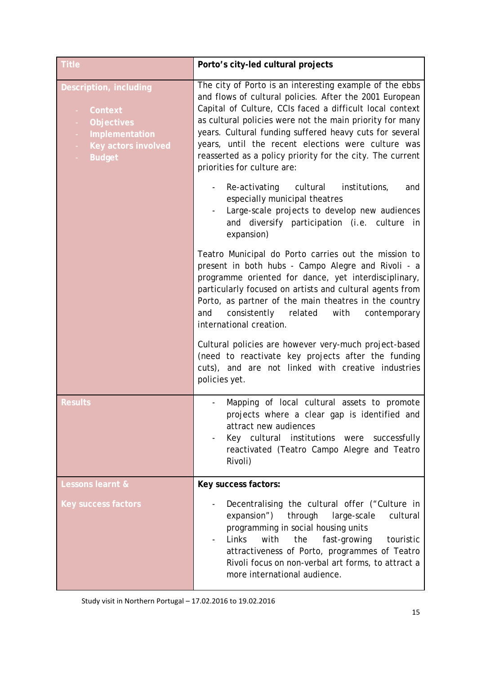| <b>Title</b>                                                                                                                                        | Porto's city-led cultural projects                                                                                                                                                                                                                                                                                                                                                                                                                      |
|-----------------------------------------------------------------------------------------------------------------------------------------------------|---------------------------------------------------------------------------------------------------------------------------------------------------------------------------------------------------------------------------------------------------------------------------------------------------------------------------------------------------------------------------------------------------------------------------------------------------------|
| Description, including<br>Context<br><b>Objectives</b><br>÷<br>Implementation<br>$\sim$<br>Key actors involved<br>$\sim$<br><b>Budget</b><br>$\sim$ | The city of Porto is an interesting example of the ebbs<br>and flows of cultural policies. After the 2001 European<br>Capital of Culture, CCIs faced a difficult local context<br>as cultural policies were not the main priority for many<br>years. Cultural funding suffered heavy cuts for several<br>years, until the recent elections were culture was<br>reasserted as a policy priority for the city. The current<br>priorities for culture are: |
|                                                                                                                                                     | Re-activating cultural<br>institutions,<br>and<br>especially municipal theatres<br>Large-scale projects to develop new audiences<br>and diversify participation (i.e. culture in<br>expansion)                                                                                                                                                                                                                                                          |
|                                                                                                                                                     | Teatro Municipal do Porto carries out the mission to<br>present in both hubs - Campo Alegre and Rivoli - a<br>programme oriented for dance, yet interdisciplinary,<br>particularly focused on artists and cultural agents from<br>Porto, as partner of the main theatres in the country<br>consistently related<br>and<br>with<br>contemporary<br>international creation.                                                                               |
|                                                                                                                                                     | Cultural policies are however very-much project-based<br>(need to reactivate key projects after the funding<br>cuts), and are not linked with creative industries<br>policies yet.                                                                                                                                                                                                                                                                      |
| <b>Results</b>                                                                                                                                      | Mapping of local cultural assets to promote<br>projects where a clear gap is identified and<br>attract new audiences<br>Key cultural institutions were successfully<br>reactivated (Teatro Campo Alegre and Teatro<br>Rivoli)                                                                                                                                                                                                                           |
| <b>Lessons learnt &amp;</b>                                                                                                                         | Key success factors:                                                                                                                                                                                                                                                                                                                                                                                                                                    |
| <b>Key success factors</b>                                                                                                                          | Decentralising the cultural offer ("Culture in<br>expansion")<br>through<br>cultural<br>large-scale<br>programming in social housing units<br>Links<br>with<br>the<br>fast-growing<br>touristic<br>attractiveness of Porto, programmes of Teatro<br>Rivoli focus on non-verbal art forms, to attract a<br>more international audience.                                                                                                                  |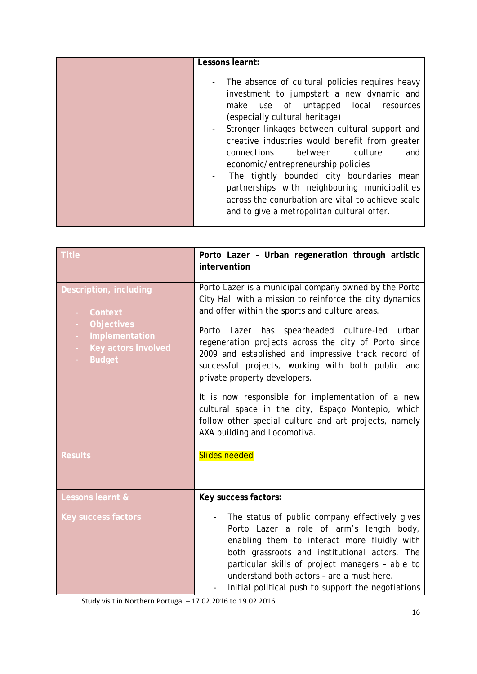| Lessons learnt:                                                                                                                                                                                                                                                                                                                                                                                                                                                                                                                                                        |
|------------------------------------------------------------------------------------------------------------------------------------------------------------------------------------------------------------------------------------------------------------------------------------------------------------------------------------------------------------------------------------------------------------------------------------------------------------------------------------------------------------------------------------------------------------------------|
| The absence of cultural policies requires heavy<br>investment to jumpstart a new dynamic and<br>make use of untapped local<br>resources<br>(especially cultural heritage)<br>Stronger linkages between cultural support and<br>creative industries would benefit from greater<br>culture<br>between<br><b>connections</b><br>and<br>economic/entrepreneurship policies<br>The tightly bounded city boundaries mean<br>partnerships with neighbouring municipalities<br>across the conurbation are vital to achieve scale<br>and to give a metropolitan cultural offer. |

| <b>Title</b>                                                                                                                               | Porto Lazer - Urban regeneration through artistic<br>intervention                                                                                                                                                                                                                                                                                                                                                                                                                                                                                                                           |
|--------------------------------------------------------------------------------------------------------------------------------------------|---------------------------------------------------------------------------------------------------------------------------------------------------------------------------------------------------------------------------------------------------------------------------------------------------------------------------------------------------------------------------------------------------------------------------------------------------------------------------------------------------------------------------------------------------------------------------------------------|
| Description, including<br>Context<br><b>Objectives</b><br>÷.<br>Implementation<br>$\sim$<br>Key actors involved<br>$\sim$<br><b>Budget</b> | Porto Lazer is a municipal company owned by the Porto<br>City Hall with a mission to reinforce the city dynamics<br>and offer within the sports and culture areas.<br>Porto Lazer has spearheaded culture-led urban<br>regeneration projects across the city of Porto since<br>2009 and established and impressive track record of<br>successful projects, working with both public and<br>private property developers.<br>It is now responsible for implementation of a new<br>cultural space in the city, Espaço Montepio, which<br>follow other special culture and art projects, namely |
|                                                                                                                                            | AXA building and Locomotiva.                                                                                                                                                                                                                                                                                                                                                                                                                                                                                                                                                                |
| <b>Results</b>                                                                                                                             | <b>Slides needed</b>                                                                                                                                                                                                                                                                                                                                                                                                                                                                                                                                                                        |
| Lessons learnt &                                                                                                                           | Key success factors:                                                                                                                                                                                                                                                                                                                                                                                                                                                                                                                                                                        |
| <b>Key success factors</b>                                                                                                                 | The status of public company effectively gives<br>Porto Lazer a role of arm's length body,<br>enabling them to interact more fluidly with<br>both grassroots and institutional actors. The<br>particular skills of project managers - able to<br>understand both actors - are a must here.<br>Initial political push to support the negotiations                                                                                                                                                                                                                                            |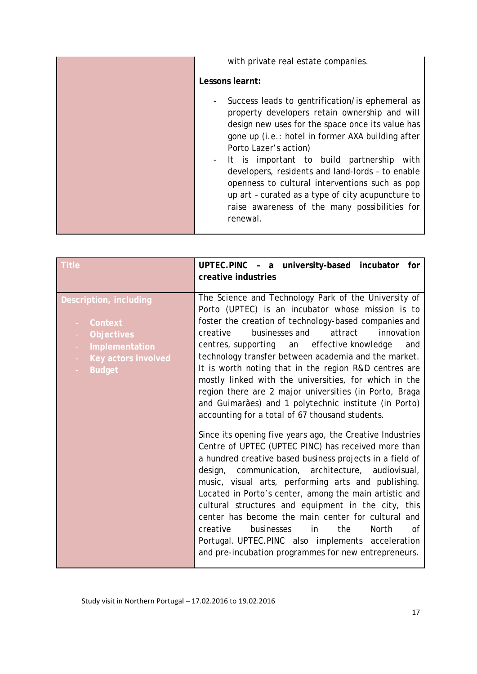| with private real estate companies.                                                                                                                                                                                                                                                                                                                                                                                                                                                                           |
|---------------------------------------------------------------------------------------------------------------------------------------------------------------------------------------------------------------------------------------------------------------------------------------------------------------------------------------------------------------------------------------------------------------------------------------------------------------------------------------------------------------|
| Lessons learnt:                                                                                                                                                                                                                                                                                                                                                                                                                                                                                               |
| Success leads to gentrification/ is ephemeral as<br>property developers retain ownership and will<br>design new uses for the space once its value has<br>gone up (i.e.: hotel in former AXA building after<br>Porto Lazer's action)<br>- It is important to build partnership<br>with<br>developers, residents and land-lords - to enable<br>openness to cultural interventions such as pop<br>up art - curated as a type of city acupuncture to<br>raise awareness of the many possibilities for<br>renewal. |

| <b>Title</b>                                                                                                     | UPTEC.PINC - a university-based incubator<br>for<br>creative industries                                                                                                                                                                                                                                                                                                                                                                                                                                                                                                                                                                                                                                                                                                                                                                                                                                                                                                                                                                                                                                                                                                                                                                                                     |
|------------------------------------------------------------------------------------------------------------------|-----------------------------------------------------------------------------------------------------------------------------------------------------------------------------------------------------------------------------------------------------------------------------------------------------------------------------------------------------------------------------------------------------------------------------------------------------------------------------------------------------------------------------------------------------------------------------------------------------------------------------------------------------------------------------------------------------------------------------------------------------------------------------------------------------------------------------------------------------------------------------------------------------------------------------------------------------------------------------------------------------------------------------------------------------------------------------------------------------------------------------------------------------------------------------------------------------------------------------------------------------------------------------|
| Description, including<br>Context<br><b>Objectives</b><br>Implementation<br>Key actors involved<br><b>Budget</b> | The Science and Technology Park of the University of<br>Porto (UPTEC) is an incubator whose mission is to<br>foster the creation of technology-based companies and<br>businesses and<br>attract<br>creative<br>innovation<br>centres, supporting an effective knowledge<br>and<br>technology transfer between academia and the market.<br>It is worth noting that in the region R&D centres are<br>mostly linked with the universities, for which in the<br>region there are 2 major universities (in Porto, Braga<br>and Guimarães) and 1 polytechnic institute (in Porto)<br>accounting for a total of 67 thousand students.<br>Since its opening five years ago, the Creative Industries<br>Centre of UPTEC (UPTEC PINC) has received more than<br>a hundred creative based business projects in a field of<br>design, communication, architecture, audiovisual,<br>music, visual arts, performing arts and publishing.<br>Located in Porto's center, among the main artistic and<br>cultural structures and equipment in the city, this<br>center has become the main center for cultural and<br>businesses<br>the<br><b>North</b><br>creative<br>in<br>of<br>Portugal. UPTEC.PINC also implements acceleration<br>and pre-incubation programmes for new entrepreneurs. |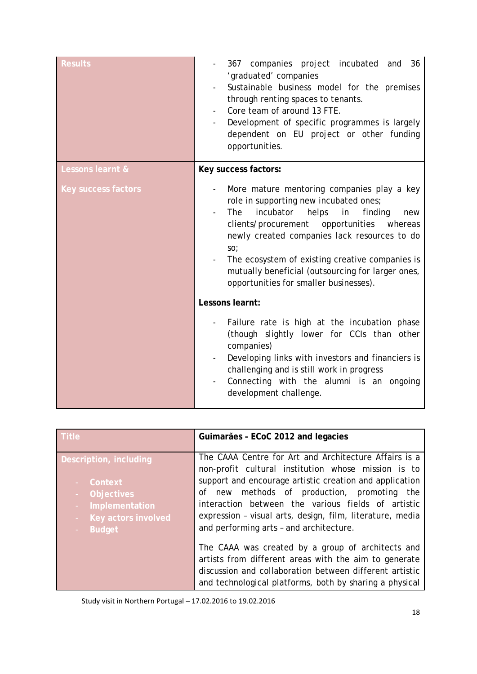| <b>Results</b>             | 367 companies project incubated and 36<br>'graduated' companies<br>Sustainable business model for the premises<br>through renting spaces to tenants.<br>Core team of around 13 FTE.<br>Development of specific programmes is largely<br>$\overline{\phantom{a}}$<br>dependent on EU project or other funding<br>opportunities.                                                                                           |  |
|----------------------------|--------------------------------------------------------------------------------------------------------------------------------------------------------------------------------------------------------------------------------------------------------------------------------------------------------------------------------------------------------------------------------------------------------------------------|--|
| Lessons learnt &           | Key success factors:                                                                                                                                                                                                                                                                                                                                                                                                     |  |
| <b>Key success factors</b> | More mature mentoring companies play a key<br>role in supporting new incubated ones;<br>incubator<br>helps<br>in<br>finding<br><b>The</b><br>new<br>clients/procurement<br>opportunities<br>whereas<br>newly created companies lack resources to do<br>SO <sub>2</sub><br>The ecosystem of existing creative companies is<br>mutually beneficial (outsourcing for larger ones,<br>opportunities for smaller businesses). |  |
|                            | Lessons learnt:                                                                                                                                                                                                                                                                                                                                                                                                          |  |
|                            | Failure rate is high at the incubation phase<br>(though slightly lower for CCIs than other<br>companies)<br>Developing links with investors and financiers is<br>challenging and is still work in progress<br>Connecting with the alumni is an ongoing<br>development challenge.                                                                                                                                         |  |

| <b>Title</b>               | Guimarães - ECoC 2012 and legacies                                                                                                                                                                                               |  |
|----------------------------|----------------------------------------------------------------------------------------------------------------------------------------------------------------------------------------------------------------------------------|--|
| Description, including     | The CAAA Centre for Art and Architecture Affairs is a<br>non-profit cultural institution whose mission is to                                                                                                                     |  |
| Context                    | support and encourage artistic creation and application                                                                                                                                                                          |  |
| <b>Objectives</b>          | methods of production, promoting<br>of new<br>the                                                                                                                                                                                |  |
| Implementation<br>$\omega$ | interaction between the various fields of artistic                                                                                                                                                                               |  |
| Key actors involved<br>÷.  | expression - visual arts, design, film, literature, media                                                                                                                                                                        |  |
| <b>Budget</b>              | and performing arts - and architecture.                                                                                                                                                                                          |  |
|                            | The CAAA was created by a group of architects and<br>artists from different areas with the aim to generate<br>discussion and collaboration between different artistic<br>and technological platforms, both by sharing a physical |  |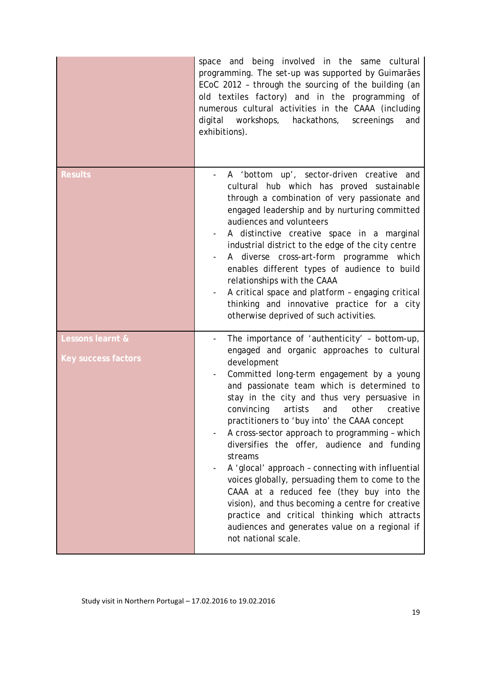|                                                | space and being involved in the same cultural<br>programming. The set-up was supported by Guimarães<br>ECoC 2012 - through the sourcing of the building (an<br>old textiles factory) and in the programming of<br>numerous cultural activities in the CAAA (including<br>digital workshops, hackathons,<br>screenings<br>and<br>exhibitions).                                                                                                                                                                                                                                                                                                                                                                                                                                                |
|------------------------------------------------|----------------------------------------------------------------------------------------------------------------------------------------------------------------------------------------------------------------------------------------------------------------------------------------------------------------------------------------------------------------------------------------------------------------------------------------------------------------------------------------------------------------------------------------------------------------------------------------------------------------------------------------------------------------------------------------------------------------------------------------------------------------------------------------------|
| <b>Results</b>                                 | A 'bottom up', sector-driven creative and<br>cultural hub which has proved sustainable<br>through a combination of very passionate and<br>engaged leadership and by nurturing committed<br>audiences and volunteers<br>A distinctive creative space in a marginal<br>industrial district to the edge of the city centre<br>A diverse cross-art-form programme which<br>enables different types of audience to build<br>relationships with the CAAA<br>A critical space and platform - engaging critical<br>thinking and innovative practice for a city<br>otherwise deprived of such activities.                                                                                                                                                                                             |
| Lessons learnt &<br><b>Key success factors</b> | The importance of 'authenticity' - bottom-up,<br>engaged and organic approaches to cultural<br>development<br>Committed long-term engagement by a young<br>and passionate team which is determined to<br>stay in the city and thus very persuasive in<br>convincing artists and other creative<br>practitioners to 'buy into' the CAAA concept<br>A cross-sector approach to programming - which<br>diversifies the offer, audience and funding<br>streams<br>A 'glocal' approach - connecting with influential<br>voices globally, persuading them to come to the<br>CAAA at a reduced fee (they buy into the<br>vision), and thus becoming a centre for creative<br>practice and critical thinking which attracts<br>audiences and generates value on a regional if<br>not national scale. |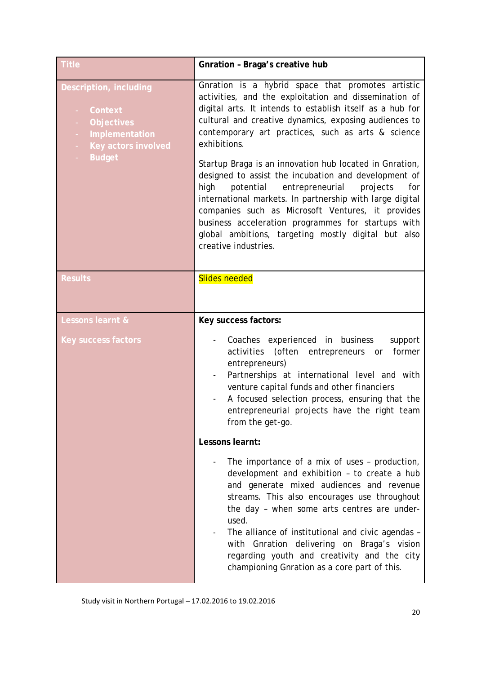| <b>Title</b>                                                                                              | Gnration - Braga's creative hub                                                                                                                                                                                                                                                                                                                                                                                                                     |  |
|-----------------------------------------------------------------------------------------------------------|-----------------------------------------------------------------------------------------------------------------------------------------------------------------------------------------------------------------------------------------------------------------------------------------------------------------------------------------------------------------------------------------------------------------------------------------------------|--|
| Description, including<br>Context<br><b>Objectives</b><br>÷<br>Implementation<br>Key actors involved<br>÷ | Gnration is a hybrid space that promotes artistic<br>activities, and the exploitation and dissemination of<br>digital arts. It intends to establish itself as a hub for<br>cultural and creative dynamics, exposing audiences to<br>contemporary art practices, such as arts & science<br>exhibitions.                                                                                                                                              |  |
| <b>Budget</b>                                                                                             | Startup Braga is an innovation hub located in Gnration,<br>designed to assist the incubation and development of<br>entrepreneurial<br>high<br>potential<br>projects<br>for<br>international markets. In partnership with large digital<br>companies such as Microsoft Ventures, it provides<br>business acceleration programmes for startups with<br>global ambitions, targeting mostly digital but also<br>creative industries.                    |  |
| <b>Results</b>                                                                                            | <b>Slides needed</b>                                                                                                                                                                                                                                                                                                                                                                                                                                |  |
| Lessons learnt &                                                                                          | Key success factors:                                                                                                                                                                                                                                                                                                                                                                                                                                |  |
| <b>Key success factors</b>                                                                                | Coaches experienced in business<br>support<br>activities (often<br>former<br>entrepreneurs or<br>entrepreneurs)<br>Partnerships at international level and with<br>venture capital funds and other financiers<br>A focused selection process, ensuring that the<br>entrepreneurial projects have the right team<br>from the get-go.                                                                                                                 |  |
|                                                                                                           | Lessons learnt:                                                                                                                                                                                                                                                                                                                                                                                                                                     |  |
|                                                                                                           | The importance of a mix of uses - production,<br>development and exhibition - to create a hub<br>and generate mixed audiences and revenue<br>streams. This also encourages use throughout<br>the day - when some arts centres are under-<br>used.<br>The alliance of institutional and civic agendas -<br>with Gnration delivering on Braga's vision<br>regarding youth and creativity and the city<br>championing Gnration as a core part of this. |  |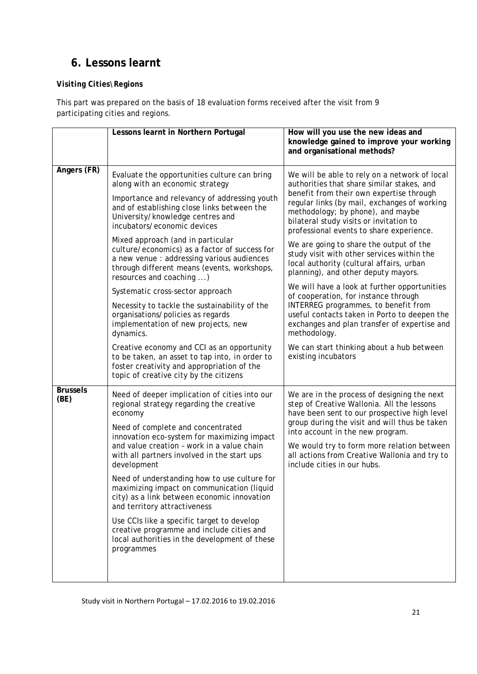### <span id="page-20-0"></span>**6. Lessons learnt**

#### *Visiting Cities\Regions*

This part was prepared on the basis of 18 evaluation forms received after the visit from 9 participating cities and regions.

|                         | Lessons learnt in Northern Portugal                                                                                                                                                                                                                                                                                                                                                                                                                                                                                                                                                                                                                                                                                                            | How will you use the new ideas and<br>knowledge gained to improve your working<br>and organisational methods?                                                                                                                                                                                                                                                                                                                                                                                                                                                                                                                                                                                                                                                                                                       |  |
|-------------------------|------------------------------------------------------------------------------------------------------------------------------------------------------------------------------------------------------------------------------------------------------------------------------------------------------------------------------------------------------------------------------------------------------------------------------------------------------------------------------------------------------------------------------------------------------------------------------------------------------------------------------------------------------------------------------------------------------------------------------------------------|---------------------------------------------------------------------------------------------------------------------------------------------------------------------------------------------------------------------------------------------------------------------------------------------------------------------------------------------------------------------------------------------------------------------------------------------------------------------------------------------------------------------------------------------------------------------------------------------------------------------------------------------------------------------------------------------------------------------------------------------------------------------------------------------------------------------|--|
| Angers (FR)             | Evaluate the opportunities culture can bring<br>along with an economic strategy<br>Importance and relevancy of addressing youth<br>and of establishing close links between the<br>University/knowledge centres and<br>incubators/economic devices<br>Mixed approach (and in particular<br>culture/economics) as a factor of success for<br>a new venue : addressing various audiences<br>through different means (events, workshops,<br>resources and coaching )<br>Systematic cross-sector approach<br>Necessity to tackle the sustainability of the<br>organisations/policies as regards<br>implementation of new projects, new<br>dynamics.<br>Creative economy and CCI as an opportunity<br>to be taken, an asset to tap into, in order to | We will be able to rely on a network of local<br>authorities that share similar stakes, and<br>benefit from their own expertise through<br>regular links (by mail, exchanges of working<br>methodology; by phone), and maybe<br>bilateral study visits or invitation to<br>professional events to share experience.<br>We are going to share the output of the<br>study visit with other services within the<br>local authority (cultural affairs, urban<br>planning), and other deputy mayors.<br>We will have a look at further opportunities<br>of cooperation, for instance through<br>INTERREG programmes, to benefit from<br>useful contacts taken in Porto to deepen the<br>exchanges and plan transfer of expertise and<br>methodology.<br>We can start thinking about a hub between<br>existing incubators |  |
|                         | foster creativity and appropriation of the<br>topic of creative city by the citizens                                                                                                                                                                                                                                                                                                                                                                                                                                                                                                                                                                                                                                                           |                                                                                                                                                                                                                                                                                                                                                                                                                                                                                                                                                                                                                                                                                                                                                                                                                     |  |
| <b>Brussels</b><br>(BE) | Need of deeper implication of cities into our<br>regional strategy regarding the creative<br>economy<br>Need of complete and concentrated<br>innovation eco-system for maximizing impact<br>and value creation - work in a value chain<br>with all partners involved in the start ups<br>development<br>Need of understanding how to use culture for<br>maximizing impact on communication (liquid<br>city) as a link between economic innovation<br>and territory attractiveness<br>Use CCIs like a specific target to develop<br>creative programme and include cities and<br>local authorities in the development of these<br>programmes                                                                                                    | We are in the process of designing the next<br>step of Creative Wallonia. All the lessons<br>have been sent to our prospective high level<br>group during the visit and will thus be taken<br>into account in the new program.<br>We would try to form more relation between<br>all actions from Creative Wallonia and try to<br>include cities in our hubs.                                                                                                                                                                                                                                                                                                                                                                                                                                                        |  |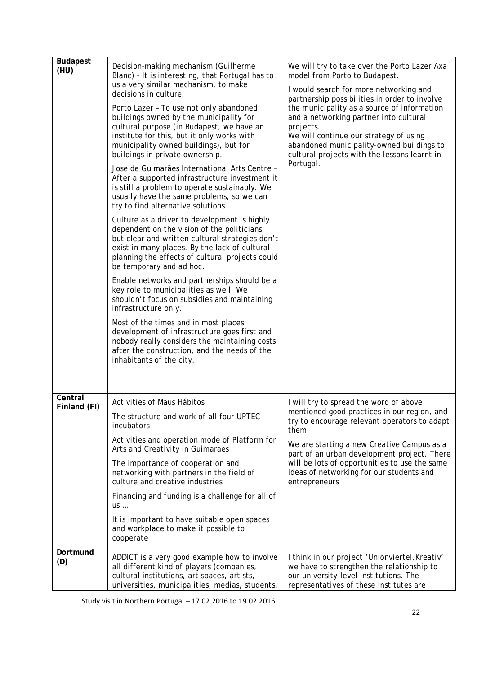| <b>Budapest</b><br>(HU) | Decision-making mechanism (Guilherme<br>Blanc) - It is interesting, that Portugal has to<br>us a very similar mechanism, to make<br>decisions in culture.<br>Porto Lazer - To use not only abandoned<br>buildings owned by the municipality for<br>cultural purpose (in Budapest, we have an<br>institute for this, but it only works with<br>municipality owned buildings), but for<br>buildings in private ownership.<br>Jose de Guimarães International Arts Centre -<br>After a supported infrastructure investment it<br>is still a problem to operate sustainably. We<br>usually have the same problems, so we can<br>try to find alternative solutions.<br>Culture as a driver to development is highly<br>dependent on the vision of the politicians,<br>but clear and written cultural strategies don't<br>exist in many places. By the lack of cultural<br>planning the effects of cultural projects could<br>be temporary and ad hoc.<br>Enable networks and partnerships should be a<br>key role to municipalities as well. We<br>shouldn't focus on subsidies and maintaining<br>infrastructure only.<br>Most of the times and in most places<br>development of infrastructure goes first and<br>nobody really considers the maintaining costs<br>after the construction, and the needs of the<br>inhabitants of the city. | We will try to take over the Porto Lazer Axa<br>model from Porto to Budapest.<br>I would search for more networking and<br>partnership possibilities in order to involve<br>the municipality as a source of information<br>and a networking partner into cultural<br>projects.<br>We will continue our strategy of using<br>abandoned municipality-owned buildings to<br>cultural projects with the lessons learnt in<br>Portugal. |
|-------------------------|-----------------------------------------------------------------------------------------------------------------------------------------------------------------------------------------------------------------------------------------------------------------------------------------------------------------------------------------------------------------------------------------------------------------------------------------------------------------------------------------------------------------------------------------------------------------------------------------------------------------------------------------------------------------------------------------------------------------------------------------------------------------------------------------------------------------------------------------------------------------------------------------------------------------------------------------------------------------------------------------------------------------------------------------------------------------------------------------------------------------------------------------------------------------------------------------------------------------------------------------------------------------------------------------------------------------------------------------|------------------------------------------------------------------------------------------------------------------------------------------------------------------------------------------------------------------------------------------------------------------------------------------------------------------------------------------------------------------------------------------------------------------------------------|
| Central<br>Finland (FI) | Activities of Maus Hábitos<br>The structure and work of all four UPTEC<br>incubators<br>Activities and operation mode of Platform for<br>Arts and Creativity in Guimaraes<br>The importance of cooperation and<br>networking with partners in the field of<br>culture and creative industries<br>Financing and funding is a challenge for all of<br><b>US</b><br>It is important to have suitable open spaces<br>and workplace to make it possible to<br>cooperate                                                                                                                                                                                                                                                                                                                                                                                                                                                                                                                                                                                                                                                                                                                                                                                                                                                                      | I will try to spread the word of above<br>mentioned good practices in our region, and<br>try to encourage relevant operators to adapt<br>them<br>We are starting a new Creative Campus as a<br>part of an urban development project. There<br>will be lots of opportunities to use the same<br>ideas of networking for our students and<br>entrepreneurs                                                                           |
| Dortmund<br>(D)         | ADDICT is a very good example how to involve<br>all different kind of players (companies,<br>cultural institutions, art spaces, artists,<br>universities, municipalities, medias, students,                                                                                                                                                                                                                                                                                                                                                                                                                                                                                                                                                                                                                                                                                                                                                                                                                                                                                                                                                                                                                                                                                                                                             | I think in our project 'Unionviertel. Kreativ'<br>we have to strengthen the relationship to<br>our university-level institutions. The<br>representatives of these institutes are                                                                                                                                                                                                                                                   |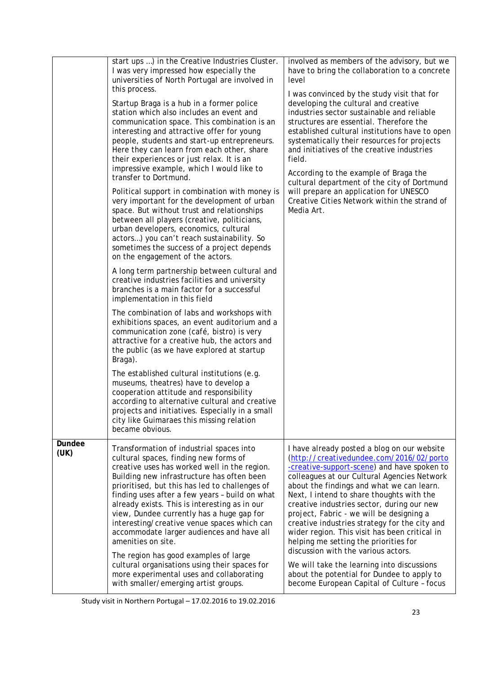|                | start ups ) in the Creative Industries Cluster.<br>I was very impressed how especially the<br>universities of North Portugal are involved in<br>this process.<br>Startup Braga is a hub in a former police<br>station which also includes an event and<br>communication space. This combination is an<br>interesting and attractive offer for young<br>people, students and start-up entrepreneurs.<br>Here they can learn from each other, share<br>their experiences or just relax. It is an<br>impressive example, which I would like to<br>transfer to Dortmund.<br>Political support in combination with money is<br>very important for the development of urban<br>space. But without trust and relationships<br>between all players (creative, politicians,<br>urban developers, economics, cultural<br>actors) you can't reach sustainability. So<br>sometimes the success of a project depends<br>on the engagement of the actors.<br>A long term partnership between cultural and<br>creative industries facilities and university<br>branches is a main factor for a successful<br>implementation in this field<br>The combination of labs and workshops with<br>exhibitions spaces, an event auditorium and a<br>communication zone (café, bistro) is very<br>attractive for a creative hub, the actors and<br>the public (as we have explored at startup<br>Braga).<br>The established cultural institutions (e.g.<br>museums, theatres) have to develop a<br>cooperation attitude and responsibility | involved as members of the advisory, but we<br>have to bring the collaboration to a concrete<br>level<br>I was convinced by the study visit that for<br>developing the cultural and creative<br>industries sector sustainable and reliable<br>structures are essential. Therefore the<br>established cultural institutions have to open<br>systematically their resources for projects<br>and initiatives of the creative industries<br>field.<br>According to the example of Braga the<br>cultural department of the city of Dortmund<br>will prepare an application for UNESCO<br>Creative Cities Network within the strand of<br>Media Art.                                                        |  |
|----------------|--------------------------------------------------------------------------------------------------------------------------------------------------------------------------------------------------------------------------------------------------------------------------------------------------------------------------------------------------------------------------------------------------------------------------------------------------------------------------------------------------------------------------------------------------------------------------------------------------------------------------------------------------------------------------------------------------------------------------------------------------------------------------------------------------------------------------------------------------------------------------------------------------------------------------------------------------------------------------------------------------------------------------------------------------------------------------------------------------------------------------------------------------------------------------------------------------------------------------------------------------------------------------------------------------------------------------------------------------------------------------------------------------------------------------------------------------------------------------------------------------------------------|-------------------------------------------------------------------------------------------------------------------------------------------------------------------------------------------------------------------------------------------------------------------------------------------------------------------------------------------------------------------------------------------------------------------------------------------------------------------------------------------------------------------------------------------------------------------------------------------------------------------------------------------------------------------------------------------------------|--|
|                | according to alternative cultural and creative<br>projects and initiatives. Especially in a small<br>city like Guimaraes this missing relation<br>became obvious.                                                                                                                                                                                                                                                                                                                                                                                                                                                                                                                                                                                                                                                                                                                                                                                                                                                                                                                                                                                                                                                                                                                                                                                                                                                                                                                                                  |                                                                                                                                                                                                                                                                                                                                                                                                                                                                                                                                                                                                                                                                                                       |  |
| Dundee<br>(UK) | Transformation of industrial spaces into<br>cultural spaces, finding new forms of<br>creative uses has worked well in the region.<br>Building new infrastructure has often been<br>prioritised, but this has led to challenges of<br>finding uses after a few years - build on what<br>already exists. This is interesting as in our<br>view, Dundee currently has a huge gap for<br>interesting/creative venue spaces which can<br>accommodate larger audiences and have all<br>amenities on site.<br>The region has good examples of large<br>cultural organisations using their spaces for<br>more experimental uses and collaborating<br>with smaller/emerging artist groups.                                                                                                                                                                                                                                                                                                                                                                                                                                                                                                                                                                                                                                                                                                                                                                                                                                  | I have already posted a blog on our website<br>(http://creativedundee.com/2016/02/porto<br>-creative-support-scene) and have spoken to<br>colleagues at our Cultural Agencies Network<br>about the findings and what we can learn.<br>Next, I intend to share thoughts with the<br>creative industries sector, during our new<br>project, Fabric - we will be designing a<br>creative industries strategy for the city and<br>wider region. This visit has been critical in<br>helping me setting the priorities for<br>discussion with the various actors.<br>We will take the learning into discussions<br>about the potential for Dundee to apply to<br>become European Capital of Culture - focus |  |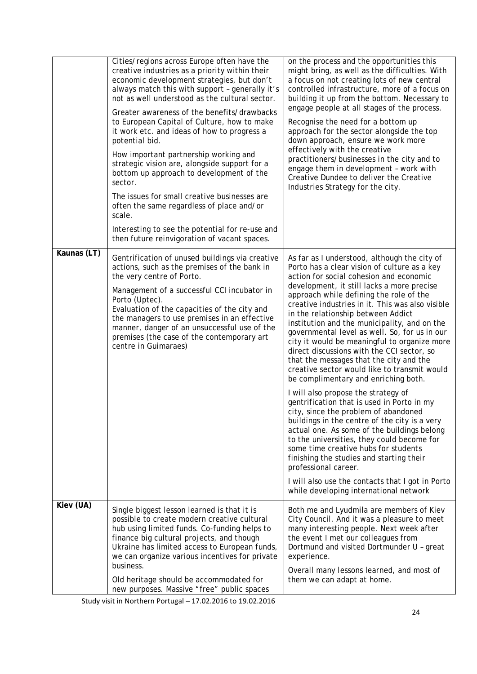|             | Cities/regions across Europe often have the<br>creative industries as a priority within their<br>economic development strategies, but don't<br>always match this with support - generally it's<br>not as well understood as the cultural sector.<br>Greater awareness of the benefits/drawbacks<br>to European Capital of Culture, how to make<br>it work etc. and ideas of how to progress a<br>potential bid.<br>How important partnership working and<br>strategic vision are, alongside support for a<br>bottom up approach to development of the<br>sector.<br>The issues for small creative businesses are<br>often the same regardless of place and/or<br>scale.<br>Interesting to see the potential for re-use and<br>then future reinvigoration of vacant spaces. | on the process and the opportunities this<br>might bring, as well as the difficulties. With<br>a focus on not creating lots of new central<br>controlled infrastructure, more of a focus on<br>building it up from the bottom. Necessary to<br>engage people at all stages of the process.<br>Recognise the need for a bottom up<br>approach for the sector alongside the top<br>down approach, ensure we work more<br>effectively with the creative<br>practitioners/businesses in the city and to<br>engage them in development - work with<br>Creative Dundee to deliver the Creative<br>Industries Strategy for the city.                                                                                                                                                                                                                                                                                                                                                                                               |
|-------------|----------------------------------------------------------------------------------------------------------------------------------------------------------------------------------------------------------------------------------------------------------------------------------------------------------------------------------------------------------------------------------------------------------------------------------------------------------------------------------------------------------------------------------------------------------------------------------------------------------------------------------------------------------------------------------------------------------------------------------------------------------------------------|-----------------------------------------------------------------------------------------------------------------------------------------------------------------------------------------------------------------------------------------------------------------------------------------------------------------------------------------------------------------------------------------------------------------------------------------------------------------------------------------------------------------------------------------------------------------------------------------------------------------------------------------------------------------------------------------------------------------------------------------------------------------------------------------------------------------------------------------------------------------------------------------------------------------------------------------------------------------------------------------------------------------------------|
| Kaunas (LT) | Gentrification of unused buildings via creative<br>actions, such as the premises of the bank in<br>the very centre of Porto.<br>Management of a successful CCI incubator in<br>Porto (Uptec).<br>Evaluation of the capacities of the city and<br>the managers to use premises in an effective<br>manner, danger of an unsuccessful use of the<br>premises (the case of the contemporary art<br>centre in Guimaraes)                                                                                                                                                                                                                                                                                                                                                        | As far as I understood, although the city of<br>Porto has a clear vision of culture as a key<br>action for social cohesion and economic<br>development, it still lacks a more precise<br>approach while defining the role of the<br>creative industries in it. This was also visible<br>in the relationship between Addict<br>institution and the municipality, and on the<br>governmental level as well. So, for us in our<br>city it would be meaningful to organize more<br>direct discussions with the CCI sector, so<br>that the messages that the city and the<br>creative sector would like to transmit would<br>be complimentary and enriching both.<br>I will also propose the strategy of<br>gentrification that is used in Porto in my<br>city, since the problem of abandoned<br>buildings in the centre of the city is a very<br>actual one. As some of the buildings belong<br>to the universities, they could become for<br>some time creative hubs for students<br>finishing the studies and starting their |
|             |                                                                                                                                                                                                                                                                                                                                                                                                                                                                                                                                                                                                                                                                                                                                                                            | professional career.<br>I will also use the contacts that I got in Porto<br>while developing international network                                                                                                                                                                                                                                                                                                                                                                                                                                                                                                                                                                                                                                                                                                                                                                                                                                                                                                          |
| Kiev (UA)   | Single biggest lesson learned is that it is<br>possible to create modern creative cultural<br>hub using limited funds. Co-funding helps to<br>finance big cultural projects, and though<br>Ukraine has limited access to European funds,<br>we can organize various incentives for private<br>business.<br>Old heritage should be accommodated for                                                                                                                                                                                                                                                                                                                                                                                                                         | Both me and Lyudmila are members of Kiev<br>City Council. And it was a pleasure to meet<br>many interesting people. Next week after<br>the event I met our colleagues from<br>Dortmund and visited Dortmunder U - great<br>experience.<br>Overall many lessons learned, and most of<br>them we can adapt at home.                                                                                                                                                                                                                                                                                                                                                                                                                                                                                                                                                                                                                                                                                                           |
|             | new purposes. Massive "free" public spaces                                                                                                                                                                                                                                                                                                                                                                                                                                                                                                                                                                                                                                                                                                                                 |                                                                                                                                                                                                                                                                                                                                                                                                                                                                                                                                                                                                                                                                                                                                                                                                                                                                                                                                                                                                                             |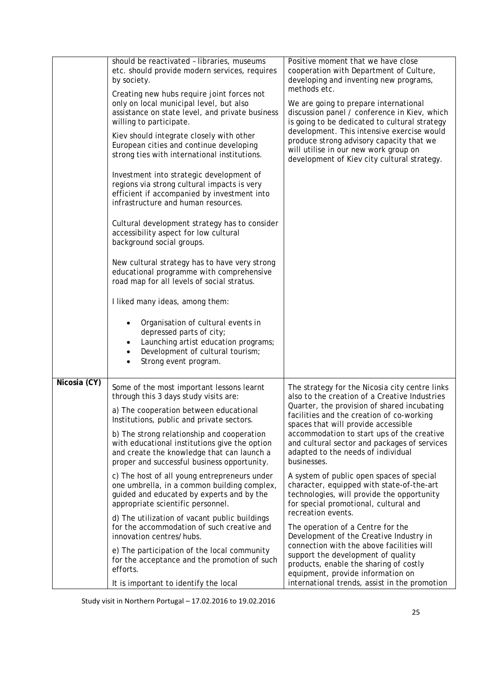|              | should be reactivated - libraries, museums<br>etc. should provide modern services, requires<br>by society.                                                                                         | Positive moment that we have close<br>cooperation with Department of Culture,<br>developing and inventing new programs,                                                                             |
|--------------|----------------------------------------------------------------------------------------------------------------------------------------------------------------------------------------------------|-----------------------------------------------------------------------------------------------------------------------------------------------------------------------------------------------------|
|              | Creating new hubs require joint forces not<br>only on local municipal level, but also<br>assistance on state level, and private business<br>willing to participate.                                | methods etc.<br>We are going to prepare international<br>discussion panel / conference in Kiev, which<br>is going to be dedicated to cultural strategy                                              |
|              | Kiev should integrate closely with other<br>European cities and continue developing<br>strong ties with international institutions.                                                                | development. This intensive exercise would<br>produce strong advisory capacity that we<br>will utilise in our new work group on<br>development of Kiev city cultural strategy.                      |
|              | Investment into strategic development of<br>regions via strong cultural impacts is very<br>efficient if accompanied by investment into<br>infrastructure and human resources.                      |                                                                                                                                                                                                     |
|              | Cultural development strategy has to consider<br>accessibility aspect for low cultural<br>background social groups.                                                                                |                                                                                                                                                                                                     |
|              | New cultural strategy has to have very strong<br>educational programme with comprehensive<br>road map for all levels of social stratus.                                                            |                                                                                                                                                                                                     |
|              | I liked many ideas, among them:                                                                                                                                                                    |                                                                                                                                                                                                     |
|              | Organisation of cultural events in<br>depressed parts of city;<br>Launching artist education programs;<br>٠<br>Development of cultural tourism;<br>$\bullet$<br>Strong event program.<br>$\bullet$ |                                                                                                                                                                                                     |
| Nicosia (CY) | Some of the most important lessons learnt<br>through this 3 days study visits are:                                                                                                                 | The strategy for the Nicosia city centre links<br>also to the creation of a Creative Industries                                                                                                     |
|              | a) The cooperation between educational<br>Institutions, public and private sectors.                                                                                                                | Quarter, the provision of shared incubating<br>facilities and the creation of co-working<br>spaces that will provide accessible                                                                     |
|              | b) The strong relationship and cooperation<br>with educational institutions give the option<br>and create the knowledge that can launch a<br>proper and successful business opportunity.           | accommodation to start ups of the creative<br>and cultural sector and packages of services<br>adapted to the needs of individual<br>businesses.                                                     |
|              | c) The host of all young entrepreneurs under<br>one umbrella, in a common building complex,<br>guided and educated by experts and by the<br>appropriate scientific personnel.                      | A system of public open spaces of special<br>character, equipped with state-of-the-art<br>technologies, will provide the opportunity<br>for special promotional, cultural and<br>recreation events. |
|              | d) The utilization of vacant public buildings<br>for the accommodation of such creative and<br>innovation centres/hubs.                                                                            | The operation of a Centre for the<br>Development of the Creative Industry in                                                                                                                        |
|              | e) The participation of the local community<br>for the acceptance and the promotion of such<br>efforts.                                                                                            | connection with the above facilities will<br>support the development of quality<br>products, enable the sharing of costly<br>equipment, provide information on                                      |
|              | It is important to identify the local                                                                                                                                                              | international trends, assist in the promotion                                                                                                                                                       |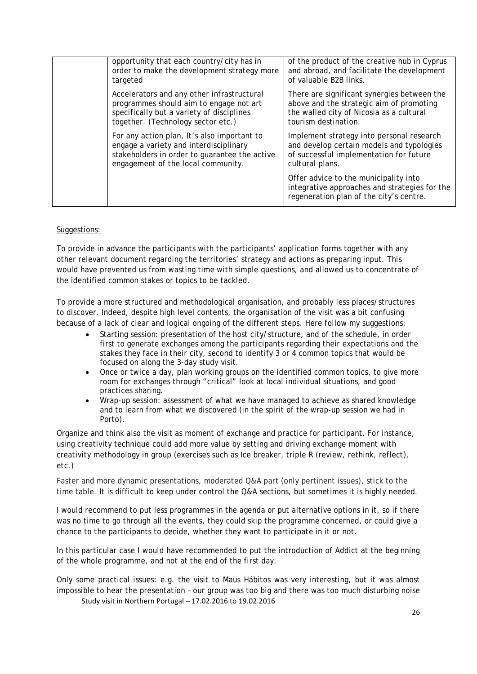| opportunity that each country/city has in<br>order to make the development strategy more<br>targeted                                                                         | of the product of the creative hub in Cyprus<br>and abroad, and facilitate the development<br>of valuable B2B links.                                        |
|------------------------------------------------------------------------------------------------------------------------------------------------------------------------------|-------------------------------------------------------------------------------------------------------------------------------------------------------------|
| Accelerators and any other infrastructural<br>programmes should aim to engage not art<br>specifically but a variety of disciplines<br>together. (Technology sector etc.)     | There are significant synergies between the<br>above and the strategic aim of promoting<br>the walled city of Nicosia as a cultural<br>tourism destination. |
| For any action plan, It's also important to<br>engage a variety and interdisciplinary<br>stakeholders in order to guarantee the active<br>engagement of the local community. | Implement strategy into personal research<br>and develop certain models and typologies<br>of successful implementation for future<br>cultural plans.        |
|                                                                                                                                                                              | Offer advice to the municipality into<br>integrative approaches and strategies for the<br>regeneration plan of the city's centre.                           |

#### Suggestions:

To provide in advance the participants with the participants' application forms together with any other relevant document regarding the territories' strategy and actions as preparing input. This would have prevented us from wasting time with simple questions, and allowed us to concentrate of the identified common stakes or topics to be tackled.

To provide a more structured and methodological organisation, and probably less places/structures to discover. Indeed, despite high level contents, the organisation of the visit was a bit confusing because of a lack of clear and logical ongoing of the different steps. Here follow my suggestions:

- Starting session: presentation of the host city/structure, and of the schedule, in order first to generate exchanges among the participants regarding their expectations and the stakes they face in their city, second to identify 3 or 4 common topics that would be focused on along the 3-day study visit.
- Once or twice a day, plan working groups on the identified common topics, to give more room for exchanges through "critical" look at local individual situations, and good practices sharing.
- Wrap-up session: assessment of what we have managed to achieve as shared knowledge and to learn from what we discovered (in the spirit of the wrap-up session we had in Porto).

Organize and think also the visit as moment of exchange and practice for participant. For instance, using creativity technique could add more value by setting and driving exchange moment with creativity methodology in group (exercises such as Ice breaker, triple R (review, rethink, reflect), etc.)

Faster and more dynamic presentations, moderated Q&A part (only pertinent issues), stick to the time table. It is difficult to keep under control the Q&A sections, but sometimes it is highly needed.

I would recommend to put less programmes in the agenda or put alternative options in it, so if there was no time to go through all the events, they could skip the programme concerned, or could give a chance to the participants to decide, whether they want to participate in it or not.

In this particular case I would have recommended to put the introduction of Addict at the beginning of the whole programme, and not at the end of the first day.

Study visit in Northern Portugal – 17.02.2016 to 19.02.2016 Only some practical issues: e.g. the visit to Maus Hábitos was very interesting, but it was almost impossible to hear the presentation – our group was too big and there was too much disturbing noise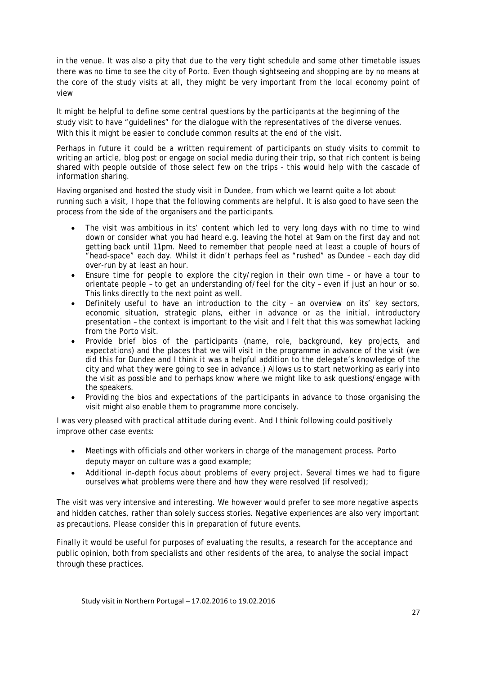in the venue. It was also a pity that due to the very tight schedule and some other timetable issues there was no time to see the city of Porto. Even though sightseeing and shopping are by no means at the core of the study visits at all, they might be very important from the local economy point of view

It might be helpful to define some central questions by the participants at the beginning of the study visit to have "guidelines" for the dialogue with the representatives of the diverse venues. With this it might be easier to conclude common results at the end of the visit.

Perhaps in future it could be a written requirement of participants on study visits to commit to writing an article, blog post or engage on social media during their trip, so that rich content is being shared with people outside of those select few on the trips - this would help with the cascade of information sharing.

Having organised and hosted the study visit in Dundee, from which we learnt quite a lot about running such a visit, I hope that the following comments are helpful. It is also good to have seen the process from the side of the organisers and the participants.

- The visit was ambitious in its' content which led to very long days with no time to wind down or consider what you had heard e.g. leaving the hotel at 9am on the first day and not getting back until 11pm. Need to remember that people need at least a couple of hours of "head-space" each day. Whilst it didn't perhaps feel as "rushed" as Dundee – each day did over-run by at least an hour.
- Ensure time for people to explore the city/region in their own time or have a tour to orientate people – to get an understanding of/feel for the city – even if just an hour or so. This links directly to the next point as well.
- Definitely useful to have an introduction to the city an overview on its' key sectors, economic situation, strategic plans, either in advance or as the initial, introductory presentation – the context is important to the visit and I felt that this was somewhat lacking from the Porto visit.
- Provide brief bios of the participants (name, role, background, key projects, and expectations) and the places that we will visit in the programme in advance of the visit (we did this for Dundee and I think it was a helpful addition to the delegate's knowledge of the city and what they were going to see in advance.) Allows us to start networking as early into the visit as possible and to perhaps know where we might like to ask questions/engage with the speakers.
- Providing the bios and expectations of the participants in advance to those organising the visit might also enable them to programme more concisely.

I was very pleased with practical attitude during event. And I think following could positively improve other case events:

- Meetings with officials and other workers in charge of the management process. Porto deputy mayor on culture was a good example;
- Additional in-depth focus about problems of every project. Several times we had to figure ourselves what problems were there and how they were resolved (if resolved);

The visit was very intensive and interesting. We however would prefer to see more negative aspects and hidden catches, rather than solely success stories. Negative experiences are also very important as precautions. Please consider this in preparation of future events.

Finally it would be useful for purposes of evaluating the results, a research for the acceptance and public opinion, both from specialists and other residents of the area, to analyse the social impact through these practices.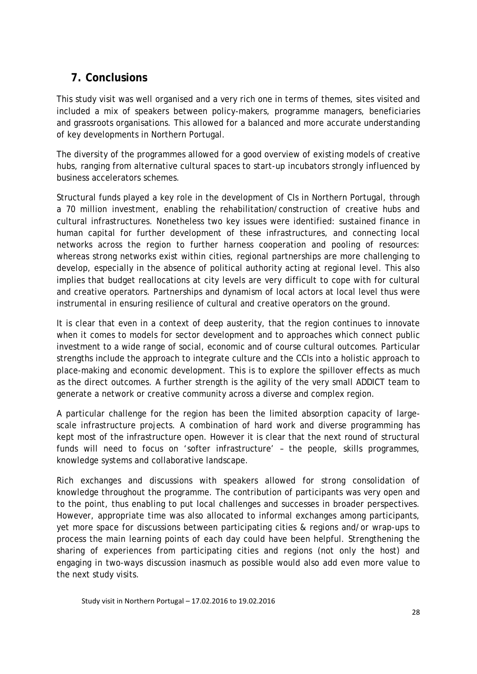### <span id="page-27-0"></span>**7. Conclusions**

This study visit was well organised and a very rich one in terms of themes, sites visited and included a mix of speakers between policy-makers, programme managers, beneficiaries and grassroots organisations. This allowed for a balanced and more accurate understanding of key developments in Northern Portugal.

The diversity of the programmes allowed for a good overview of existing models of creative hubs, ranging from alternative cultural spaces to start-up incubators strongly influenced by business accelerators schemes.

Structural funds played a key role in the development of CIs in Northern Portugal, through a 70 million investment, enabling the rehabilitation/construction of creative hubs and cultural infrastructures. Nonetheless two key issues were identified: sustained finance in human capital for further development of these infrastructures, and connecting local networks across the region to further harness cooperation and pooling of resources: whereas strong networks exist within cities, regional partnerships are more challenging to develop, especially in the absence of political authority acting at regional level. This also implies that budget reallocations at city levels are very difficult to cope with for cultural and creative operators. Partnerships and dynamism of local actors at local level thus were instrumental in ensuring resilience of cultural and creative operators on the ground.

It is clear that even in a context of deep austerity, that the region continues to innovate when it comes to models for sector development and to approaches which connect public investment to a wide range of social, economic and of course cultural outcomes. Particular strengths include the approach to integrate culture and the CCIs into a holistic approach to place-making and economic development. This is to explore the spillover effects as much as the direct outcomes. A further strength is the agility of the very small ADDICT team to generate a network or creative community across a diverse and complex region.

A particular challenge for the region has been the limited absorption capacity of largescale infrastructure projects. A combination of hard work and diverse programming has kept most of the infrastructure open. However it is clear that the next round of structural funds will need to focus on 'softer infrastructure' – the people, skills programmes, knowledge systems and collaborative landscape.

Rich exchanges and discussions with speakers allowed for strong consolidation of knowledge throughout the programme. The contribution of participants was very open and to the point, thus enabling to put local challenges and successes in broader perspectives. However, appropriate time was also allocated to informal exchanges among participants, yet more space for discussions between participating cities & regions and/or wrap-ups to process the main learning points of each day could have been helpful. Strengthening the sharing of experiences from participating cities and regions (not only the host) and engaging in two-ways discussion inasmuch as possible would also add even more value to the next study visits.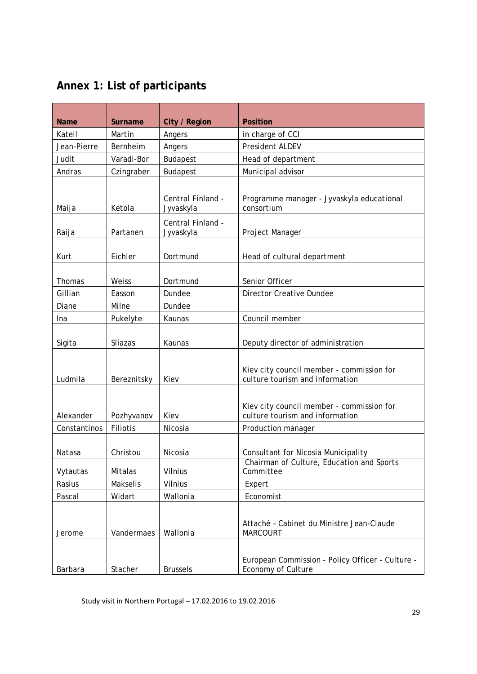### <span id="page-28-0"></span>**Annex 1: List of participants**

| <b>Name</b>  | <b>Surname</b>  | City / Region                  | <b>Position</b>                                                              |
|--------------|-----------------|--------------------------------|------------------------------------------------------------------------------|
| Katell       | Martin          | Angers                         | in charge of CCI                                                             |
| Jean-Pierre  | Bernheim        | Angers                         | President ALDEV                                                              |
| Judit        | Varadi-Bor      | <b>Budapest</b>                | Head of department                                                           |
| Andras       | Czingraber      | <b>Budapest</b>                | Municipal advisor                                                            |
|              |                 |                                |                                                                              |
| Maija        | Ketola          | Central Finland -<br>Jyvaskyla | Programme manager - Jyvaskyla educational<br>consortium                      |
| Raija        | Partanen        | Central Finland -<br>Jyvaskyla | Project Manager                                                              |
|              |                 |                                |                                                                              |
| Kurt         | Eichler         | Dortmund                       | Head of cultural department                                                  |
|              |                 |                                |                                                                              |
| Thomas       | Weiss           | Dortmund                       | Senior Officer                                                               |
| Gillian      | Easson          | Dundee                         | <b>Director Creative Dundee</b>                                              |
| Diane        | Milne           | Dundee                         |                                                                              |
| Ina          | Pukelyte        | Kaunas                         | Council member                                                               |
|              |                 |                                |                                                                              |
| Sigita       | Sliazas         | Kaunas                         | Deputy director of administration                                            |
| Ludmila      | Bereznitsky     | Kiev                           | Kiev city council member - commission for<br>culture tourism and information |
| Alexander    | Pozhyvanov      | Kiev                           | Kiev city council member - commission for<br>culture tourism and information |
| Constantinos | Filiotis        | Nicosia                        | Production manager                                                           |
| Natasa       | Christou        | Nicosia                        | Consultant for Nicosia Municipality                                          |
| Vytautas     | Mitalas         | Vilnius                        | Chairman of Culture, Education and Sports<br>Committee                       |
| Rasius       | <b>Makselis</b> | Vilnius                        | Expert                                                                       |
| Pascal       | Widart          | Wallonia                       | Economist                                                                    |
| Jerome       | Vandermaes      | Wallonia                       | Attaché - Cabinet du Ministre Jean-Claude<br><b>MARCOURT</b>                 |
| Barbara      | Stacher         | <b>Brussels</b>                | European Commission - Policy Officer - Culture -<br>Economy of Culture       |